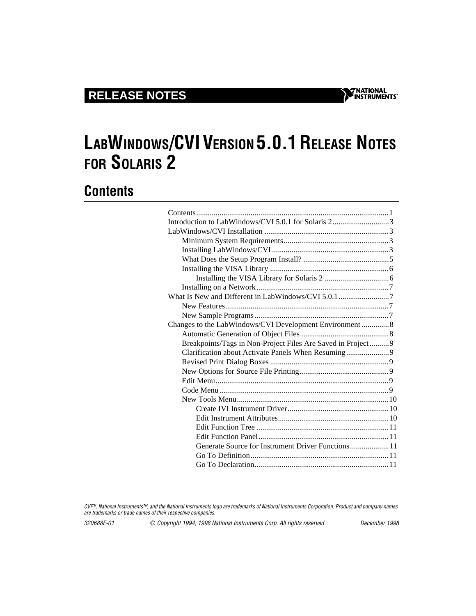# **LABWINDOWS/CVI VERSION 5.0.1 RELEASE NOTES FOR SOLARIS 2**

## **Contents**

CVI™, National Instruments™, and the National Instruments logo are trademarks of National Instruments Corporation. Product and company names are trademarks or trade names of their respective companies.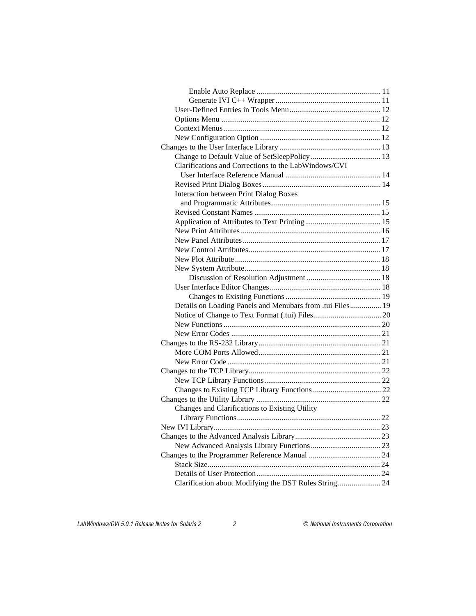| Clarifications and Corrections to the LabWindows/CVI      |  |
|-----------------------------------------------------------|--|
|                                                           |  |
|                                                           |  |
| <b>Interaction between Print Dialog Boxes</b>             |  |
|                                                           |  |
|                                                           |  |
|                                                           |  |
|                                                           |  |
|                                                           |  |
|                                                           |  |
|                                                           |  |
|                                                           |  |
|                                                           |  |
|                                                           |  |
|                                                           |  |
| Details on Loading Panels and Menubars from .tui Files 19 |  |
|                                                           |  |
|                                                           |  |
|                                                           |  |
|                                                           |  |
|                                                           |  |
|                                                           |  |
|                                                           |  |
|                                                           |  |
|                                                           |  |
|                                                           |  |
| Changes and Clarifications to Existing Utility            |  |
|                                                           |  |
|                                                           |  |
|                                                           |  |
|                                                           |  |
|                                                           |  |
|                                                           |  |
|                                                           |  |
| Clarification about Modifying the DST Rules String 24     |  |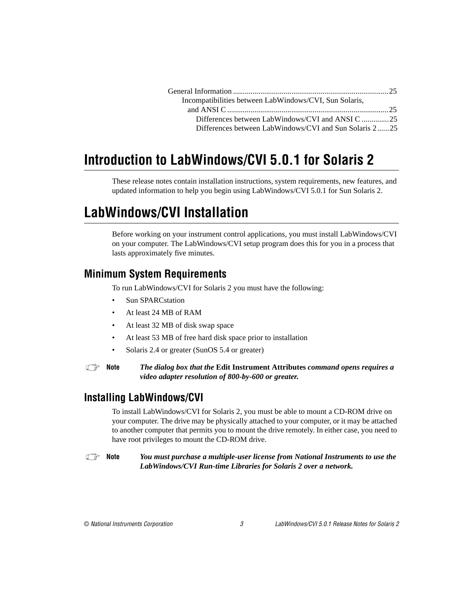| Incompatibilities between LabWindows/CVI, Sun Solaris, |  |
|--------------------------------------------------------|--|
|                                                        |  |
| Differences between LabWindows/CVI and ANSI C 25       |  |
| Differences between LabWindows/CVI and Sun Solaris 225 |  |

# <span id="page-2-0"></span>**Introduction to LabWindows/CVI 5.0.1 for Solaris 2**

These release notes contain installation instructions, system requirements, new features, and updated information to help you begin using LabWindows/CVI 5.0.1 for Sun Solaris 2.

## **LabWindows/CVI Installation**

Before working on your instrument control applications, you must install LabWindows/CVI on your computer. The LabWindows/CVI setup program does this for you in a process that lasts approximately five minutes.

#### **Minimum System Requirements**

To run LabWindows/CVI for Solaris 2 you must have the following:

- Sun SPARCstation
- At least 24 MB of RAM
- At least 32 MB of disk swap space
- At least 53 MB of free hard disk space prior to installation
- Solaris 2.4 or greater (SunOS 5.4 or greater)

**Note** *The dialog box that the* **Edit Instrument Attributes** *command opens requires a video adapter resolution of 800-by-600 or greater.*

#### **Installing LabWindows/CVI**

To install LabWindows/CVI for Solaris 2, you must be able to mount a CD-ROM drive on your computer. The drive may be physically attached to your computer, or it may be attached to another computer that permits you to mount the drive remotely. In either case, you need to have root privileges to mount the CD-ROM drive.

**Note** *You must purchase a multiple-user license from National Instruments to use the LabWindows/CVI Run-time Libraries for Solaris 2 over a network.*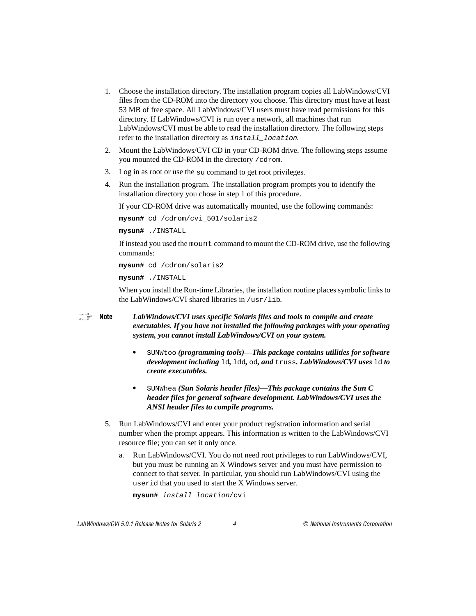- 1. Choose the installation directory. The installation program copies all LabWindows/CVI files from the CD-ROM into the directory you choose. This directory must have at least 53 MB of free space. All LabWindows/CVI users must have read permissions for this directory. If LabWindows/CVI is run over a network, all machines that run LabWindows/CVI must be able to read the installation directory. The following steps refer to the installation directory as install\_location.
- 2. Mount the LabWindows/CVI CD in your CD-ROM drive. The following steps assume you mounted the CD-ROM in the directory /cdrom.
- 3. Log in as root or use the su command to get root privileges.
- 4. Run the installation program. The installation program prompts you to identify the installation directory you chose in step 1 of this procedure.

If your CD-ROM drive was automatically mounted, use the following commands:

```
mysun# cd /cdrom/cvi_501/solaris2
```
**mysun#** ./INSTALL

If instead you used the mount command to mount the CD-ROM drive, use the following commands:

**mysun#** cd /cdrom/solaris2

**mysun#** ./INSTALL

When you install the Run-time Libraries, the installation routine places symbolic links to the LabWindows/CVI shared libraries in /usr/lib.

#### **Note** *LabWindows/CVI uses specific Solaris files and tools to compile and create executables. If you have not installed the following packages with your operating system, you cannot install LabWindows/CVI on your system.*

- **•** SUNWtoo *(programming tools)—This package contains utilities for software development including* ld*,* ldd*,* od*, and* truss*. LabWindows/CVI uses* ld *to create executables.*
- **•** SUNWhea *(Sun Solaris header files)—This package contains the Sun C header files for general software development. LabWindows/CVI uses the ANSI header files to compile programs.*
- 5. Run LabWindows/CVI and enter your product registration information and serial number when the prompt appears. This information is written to the LabWindows/CVI resource file; you can set it only once.
	- a. Run LabWindows/CVI. You do not need root privileges to run LabWindows/CVI, but you must be running an X Windows server and you must have permission to connect to that server. In particular, you should run LabWindows/CVI using the userid that you used to start the X Windows server.

```
mysun# install_location/cvi
```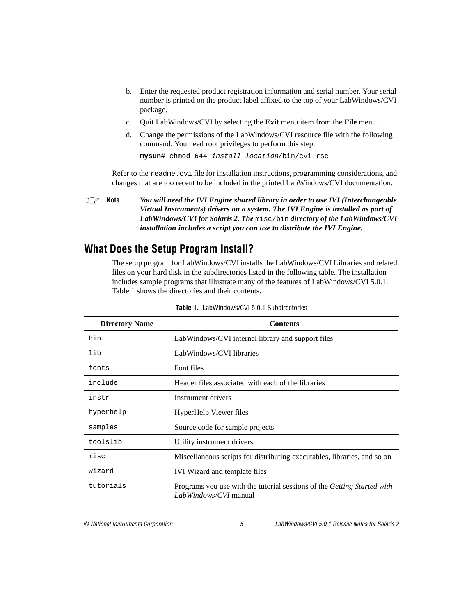- <span id="page-4-0"></span>b. Enter the requested product registration information and serial number. Your serial number is printed on the product label affixed to the top of your LabWindows/CVI package.
- c. Quit LabWindows/CVI by selecting the **Exit** menu item from the **File** menu.
- d. Change the permissions of the LabWindows/CVI resource file with the following command. You need root privileges to perform this step.

**mysun#** chmod 644 install\_location/bin/cvi.rsc

Refer to the readme.cvi file for installation instructions, programming considerations, and changes that are too recent to be included in the printed LabWindows/CVI documentation.

**Note** *You will need the IVI Engine shared library in order to use IVI (Interchangeable Virtual Instruments) drivers on a system. The IVI Engine is installed as part of LabWindows/CVI for Solaris 2. The* misc/bin *directory of the LabWindows/CVI installation includes a script you can use to distribute the IVI Engine.*

#### **What Does the Setup Program Install?**

The setup program for LabWindows/CVI installs the LabWindows/CVI Libraries and related files on your hard disk in the subdirectories listed in the following table. The installation includes sample programs that illustrate many of the features of LabWindows/CVI 5.0.1. Table 1 shows the directories and their contents.

| <b>Directory Name</b> | <b>Contents</b>                                                                                  |
|-----------------------|--------------------------------------------------------------------------------------------------|
| bin                   | LabWindows/CVI internal library and support files                                                |
| lib                   | LabWindows/CVI libraries                                                                         |
| fonts                 | Font files                                                                                       |
| include               | Header files associated with each of the libraries                                               |
| instr                 | Instrument drivers                                                                               |
| hyperhelp             | <b>HyperHelp Viewer files</b>                                                                    |
| samples               | Source code for sample projects                                                                  |
| toolslib              | Utility instrument drivers                                                                       |
| misc                  | Miscellaneous scripts for distributing executables, libraries, and so on                         |
| wizard                | IVI Wizard and template files                                                                    |
| tutorials             | Programs you use with the tutorial sessions of the Getting Started with<br>LabWindows/CVI manual |

**Table 1.** LabWindows/CVI 5.0.1 Subdirectories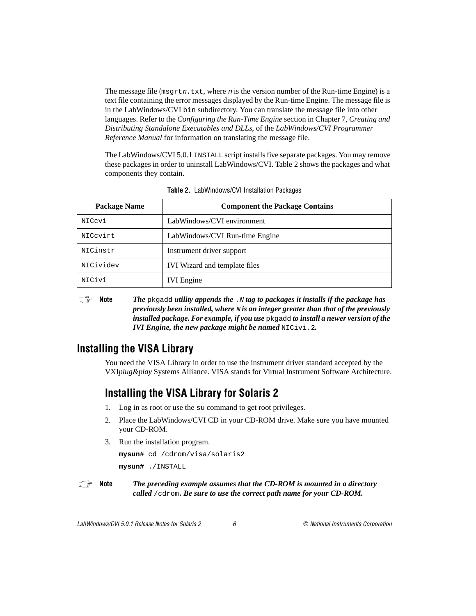<span id="page-5-0"></span>The message file ( $msqrt{x}$ , where n is the version number of the Run-time Engine) is a text file containing the error messages displayed by the Run-time Engine. The message file is in the LabWindows/CVI bin subdirectory. You can translate the message file into other languages. Refer to the *Configuring the Run-Time Engine* section in Chapter 7, *Creating and Distributing Standalone Executables and DLLs*, of the *LabWindows/CVI Programmer Reference Manual* for information on translating the message file.

The LabWindows/CVI 5.0.1 INSTALL script installs five separate packages. You may remove these packages in order to uninstall LabWindows/CVI. Table 2 shows the packages and what components they contain.

| Package Name | <b>Component the Package Contains</b> |  |
|--------------|---------------------------------------|--|
| NICcvi       | LabWindows/CVI environment            |  |
| NICcvirt     | LabWindows/CVI Run-time Engine        |  |
| NICinstr     | Instrument driver support             |  |
| NICividev    | IVI Wizard and template files         |  |
| NICivi       | <b>IVI</b> Engine                     |  |

**Table 2.** LabWindows/CVI Installation Packages

**Note** *The pkgadd utility appends the .N tag to packages it installs if the package has*  $\mathbb{F}_{q}$ *previously been installed, where* N *is an integer greater than that of the previously installed package. For example, if you use* pkgadd *to install a newer version of the IVI Engine, the new package might be named* NICivi.2*.*

#### **Installing the VISA Library**

You need the VISA Library in order to use the instrument driver standard accepted by the VXI*plug&play* Systems Alliance. VISA stands for Virtual Instrument Software Architecture.

#### **Installing the VISA Library for Solaris 2**

- 1. Log in as root or use the su command to get root privileges.
- 2. Place the LabWindows/CVI CD in your CD-ROM drive. Make sure you have mounted your CD-ROM.
- 3. Run the installation program.

**mysun#** cd /cdrom/visa/solaris2

**mysun#** ./INSTALL

**Note** *The preceding example assumes that the CD-ROM is mounted in a directory called* /cdrom*. Be sure to use the correct path name for your CD-ROM.*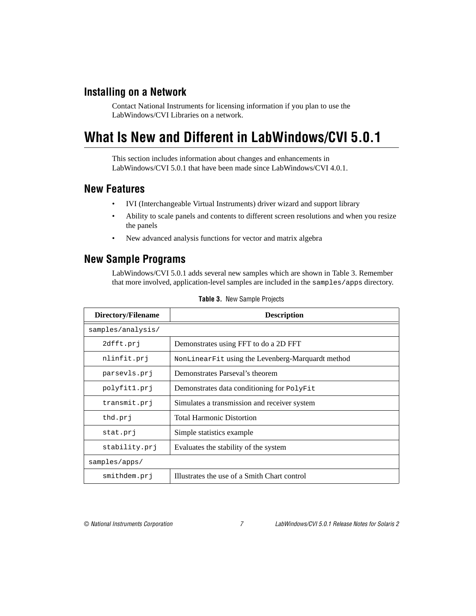#### <span id="page-6-0"></span>**Installing on a Network**

Contact National Instruments for licensing information if you plan to use the LabWindows/CVI Libraries on a network.

## **What Is New and Different in LabWindows/CVI 5.0.1**

This section includes information about changes and enhancements in LabWindows/CVI 5.0.1 that have been made since LabWindows/CVI 4.0.1.

#### **New Features**

- IVI (Interchangeable Virtual Instruments) driver wizard and support library
- Ability to scale panels and contents to different screen resolutions and when you resize the panels
- New advanced analysis functions for vector and matrix algebra

#### **New Sample Programs**

LabWindows/CVI 5.0.1 adds several new samples which are shown in Table 3. Remember that more involved, application-level samples are included in the samples/apps directory.

| Directory/Filename | <b>Description</b>                                |  |
|--------------------|---------------------------------------------------|--|
| samples/analysis/  |                                                   |  |
| 2dfft.prj          | Demonstrates using FFT to do a 2D FFT             |  |
| nlinfit.prj        | NonLinearFit using the Levenberg-Marquardt method |  |
| parsevls.prj       | Demonstrates Parseval's theorem                   |  |
| polyfitl.prj       | Demonstrates data conditioning for PolyFit        |  |
| transmit.prj       | Simulates a transmission and receiver system      |  |
| thd.prj            | <b>Total Harmonic Distortion</b>                  |  |
| stat.prj           | Simple statistics example                         |  |
| stability.prj      | Evaluates the stability of the system             |  |
| samples/apps/      |                                                   |  |
| smithdem.prj       | Illustrates the use of a Smith Chart control      |  |

**Table 3.** New Sample Projects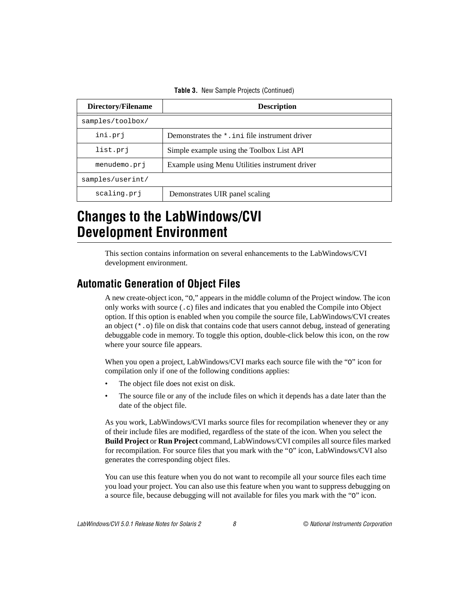<span id="page-7-0"></span>

| Directory/Filename | <b>Description</b>                             |  |
|--------------------|------------------------------------------------|--|
| samples/toolbox/   |                                                |  |
| ini.prj            | Demonstrates the *. in file instrument driver  |  |
| list.pri           | Simple example using the Toolbox List API      |  |
| menudemo.prj       | Example using Menu Utilities instrument driver |  |
| samples/userint/   |                                                |  |
| scaling.prj        | Demonstrates UIR panel scaling                 |  |

**Table 3.** New Sample Projects (Continued)

## **Changes to the LabWindows/CVI Development Environment**

This section contains information on several enhancements to the LabWindows/CVI development environment.

#### **Automatic Generation of Object Files**

A new create-object icon, "O," appears in the middle column of the Project window. The icon only works with source (.c) files and indicates that you enabled the Compile into Object option. If this option is enabled when you compile the source file, LabWindows/CVI creates an object  $(*\, \cdot \, \circ)$  file on disk that contains code that users cannot debug, instead of generating debuggable code in memory. To toggle this option, double-click below this icon, on the row where your source file appears.

When you open a project, LabWindows/CVI marks each source file with the "o" icon for compilation only if one of the following conditions applies:

- The object file does not exist on disk.
- The source file or any of the include files on which it depends has a date later than the date of the object file.

As you work, LabWindows/CVI marks source files for recompilation whenever they or any of their include files are modified, regardless of the state of the icon. When you select the **Build Project** or **Run Project** command, LabWindows/CVI compiles all source files marked for recompilation. For source files that you mark with the "O" icon, LabWindows/CVI also generates the corresponding object files.

You can use this feature when you do not want to recompile all your source files each time you load your project. You can also use this feature when you want to suppress debugging on a source file, because debugging will not available for files you mark with the "O" icon.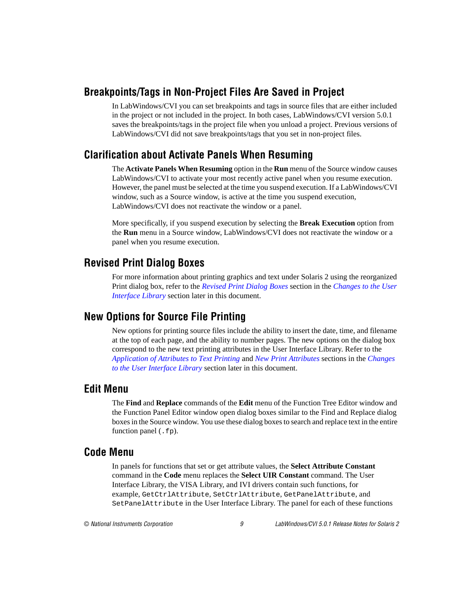#### <span id="page-8-0"></span>**Breakpoints/Tags in Non-Project Files Are Saved in Project**

In LabWindows/CVI you can set breakpoints and tags in source files that are either included in the project or not included in the project. In both cases, LabWindows/CVI version 5.0.1 saves the breakpoints/tags in the project file when you unload a project. Previous versions of LabWindows/CVI did not save breakpoints/tags that you set in non-project files.

#### **Clarification about Activate Panels When Resuming**

The **Activate Panels When Resuming** option in the **Run** menu of the Source window causes LabWindows/CVI to activate your most recently active panel when you resume execution. However, the panel must be selected at the time you suspend execution. If a LabWindows/CVI window, such as a Source window, is active at the time you suspend execution, LabWindows/CVI does not reactivate the window or a panel.

More specifically, if you suspend execution by selecting the **Break Execution** option from the **Run** menu in a Source window, LabWindows/CVI does not reactivate the window or a panel when you resume execution.

#### **Revised Print Dialog Boxes**

For more information about printing graphics and text under Solaris 2 using the reorganized Print dialog box, refer to the *[Revised Print Dialog Box](#page-13-0)es* section in the *[Changes to the User](#page-12-0)  [Interface Library](#page-12-0)* section later in this document.

#### **New Options for Source File Printing**

New options for printing source files include the ability to insert the date, time, and filename at the top of each page, and the ability to number pages. The new options on the dialog box correspond to the new text printing attributes in the User Interface Library. Refer to the *[Application of Attributes to Text Printin](#page-14-0)g* and *[New Print Attribut](#page-15-0)es* sections in the *[Changes](#page-12-0)  [to the User Interface Library](#page-12-0)* section later in this document.

#### **Edit Menu**

The **Find** and **Replace** commands of the **Edit** menu of the Function Tree Editor window and the Function Panel Editor window open dialog boxes similar to the Find and Replace dialog boxes in the Source window. You use these dialog boxes to search and replace text in the entire function panel (.fp).

#### **Code Menu**

In panels for functions that set or get attribute values, the **Select Attribute Constant** command in the **Code** menu replaces the **Select UIR Constant** command. The User Interface Library, the VISA Library, and IVI drivers contain such functions, for example, GetCtrlAttribute, SetCtrlAttribute, GetPanelAttribute, and SetPanelAttribute in the User Interface Library. The panel for each of these functions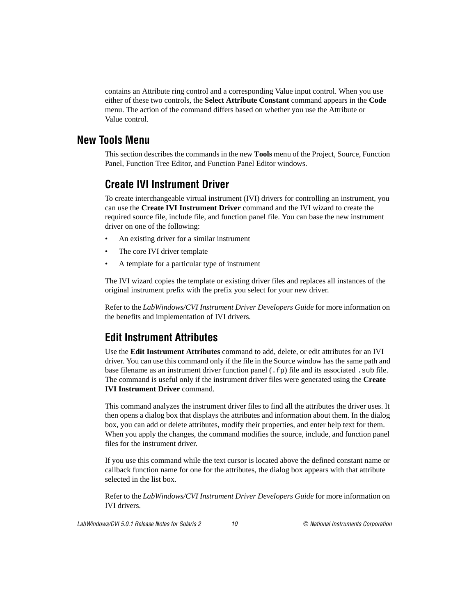<span id="page-9-0"></span>contains an Attribute ring control and a corresponding Value input control. When you use either of these two controls, the **Select Attribute Constant** command appears in the **Code** menu. The action of the command differs based on whether you use the Attribute or Value control.

#### **New Tools Menu**

This section describes the commands in the new **Tools** menu of the Project, Source, Function Panel, Function Tree Editor, and Function Panel Editor windows.

#### **Create IVI Instrument Driver**

To create interchangeable virtual instrument (IVI) drivers for controlling an instrument, you can use the **Create IVI Instrument Driver** command and the IVI wizard to create the required source file, include file, and function panel file. You can base the new instrument driver on one of the following:

- An existing driver for a similar instrument
- The core IVI driver template
- A template for a particular type of instrument

The IVI wizard copies the template or existing driver files and replaces all instances of the original instrument prefix with the prefix you select for your new driver.

Refer to the *LabWindows/CVI Instrument Driver Developers Guide* for more information on the benefits and implementation of IVI drivers.

#### **Edit Instrument Attributes**

Use the **Edit Instrument Attributes** command to add, delete, or edit attributes for an IVI driver. You can use this command only if the file in the Source window has the same path and base filename as an instrument driver function panel (. fp) file and its associated . sub file. The command is useful only if the instrument driver files were generated using the **Create IVI Instrument Driver** command.

This command analyzes the instrument driver files to find all the attributes the driver uses. It then opens a dialog box that displays the attributes and information about them. In the dialog box, you can add or delete attributes, modify their properties, and enter help text for them. When you apply the changes, the command modifies the source, include, and function panel files for the instrument driver.

If you use this command while the text cursor is located above the defined constant name or callback function name for one for the attributes, the dialog box appears with that attribute selected in the list box.

Refer to the *LabWindows/CVI Instrument Driver Developers Guide* for more information on IVI drivers.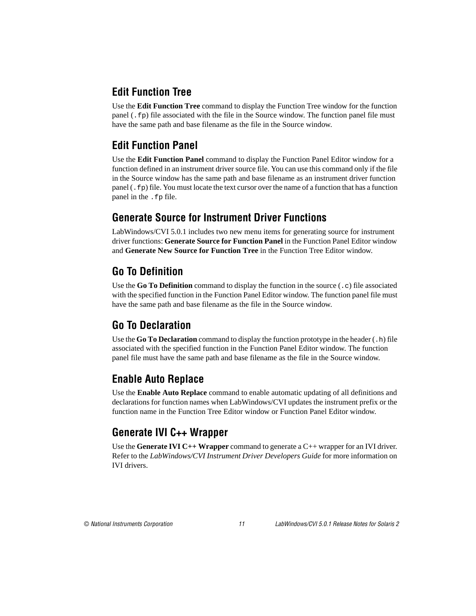## <span id="page-10-0"></span>**Edit Function Tree**

Use the **Edit Function Tree** command to display the Function Tree window for the function panel (.fp) file associated with the file in the Source window. The function panel file must have the same path and base filename as the file in the Source window.

## **Edit Function Panel**

Use the **Edit Function Panel** command to display the Function Panel Editor window for a function defined in an instrument driver source file. You can use this command only if the file in the Source window has the same path and base filename as an instrument driver function panel  $(. f<sub>P</sub>)$  file. You must locate the text cursor over the name of a function that has a function panel in the .fp file.

#### **Generate Source for Instrument Driver Functions**

LabWindows/CVI 5.0.1 includes two new menu items for generating source for instrument driver functions: **Generate Source for Function Panel** in the Function Panel Editor window and **Generate New Source for Function Tree** in the Function Tree Editor window.

## **Go To Definition**

Use the **Go To Definition** command to display the function in the source (.c) file associated with the specified function in the Function Panel Editor window. The function panel file must have the same path and base filename as the file in the Source window.

#### **Go To Declaration**

Use the **Go To Declaration** command to display the function prototype in the header (.h) file associated with the specified function in the Function Panel Editor window. The function panel file must have the same path and base filename as the file in the Source window.

#### **Enable Auto Replace**

Use the **Enable Auto Replace** command to enable automatic updating of all definitions and declarations for function names when LabWindows/CVI updates the instrument prefix or the function name in the Function Tree Editor window or Function Panel Editor window.

#### **Generate IVI C++ Wrapper**

Use the **Generate IVI C++ Wrapper** command to generate a C++ wrapper for an IVI driver. Refer to the *LabWindows/CVI Instrument Driver Developers Guide* for more information on IVI drivers.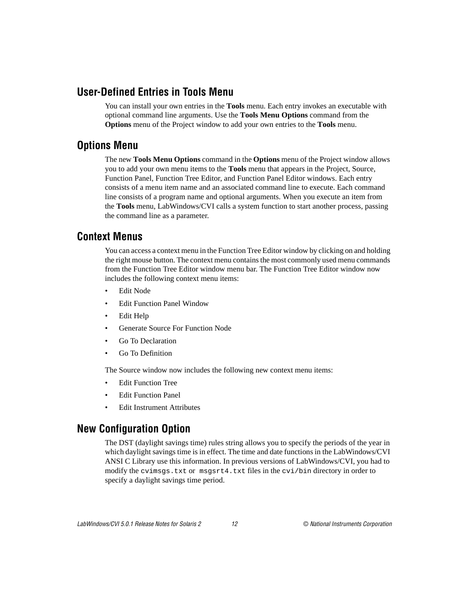#### <span id="page-11-0"></span>**User-Defined Entries in Tools Menu**

You can install your own entries in the **Tools** menu. Each entry invokes an executable with optional command line arguments. Use the **Tools Menu Options** command from the **Options** menu of the Project window to add your own entries to the **Tools** menu.

#### **Options Menu**

The new **Tools Menu Options** command in the **Options** menu of the Project window allows you to add your own menu items to the **Tools** menu that appears in the Project, Source, Function Panel, Function Tree Editor, and Function Panel Editor windows. Each entry consists of a menu item name and an associated command line to execute. Each command line consists of a program name and optional arguments. When you execute an item from the **Tools** menu, LabWindows/CVI calls a system function to start another process, passing the command line as a parameter.

#### **Context Menus**

You can access a context menu in the Function Tree Editor window by clicking on and holding the right mouse button. The context menu contains the most commonly used menu commands from the Function Tree Editor window menu bar. The Function Tree Editor window now includes the following context menu items:

- Edit Node
- **Edit Function Panel Window**
- Edit Help
- Generate Source For Function Node
- Go To Declaration
- Go To Definition

The Source window now includes the following new context menu items:

- Edit Function Tree
- **Edit Function Panel**
- Edit Instrument Attributes

## **New Configuration Option**

The DST (daylight savings time) rules string allows you to specify the periods of the year in which daylight savings time is in effect. The time and date functions in the LabWindows/CVI ANSI C Library use this information. In previous versions of LabWindows/CVI, you had to modify the cvimsgs.txt or msgsrt4.txt files in the cvi/bin directory in order to specify a daylight savings time period.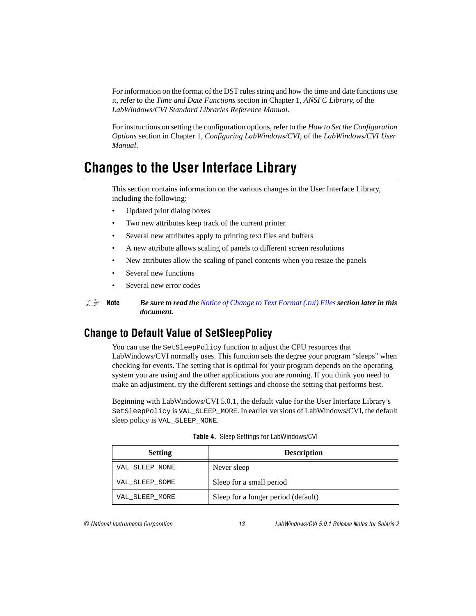<span id="page-12-0"></span>For information on the format of the DST rules string and how the time and date functions use it, refer to the *Time and Date Functions* section in Chapter 1, *ANSI C Library*, of the *LabWindows/CVI Standard Libraries Reference Manual*.

For instructions on setting the configuration options, refer to the *How to Set the Configuration Options* section in Chapter 1, *Configuring LabWindows/CVI*, of the *LabWindows/CVI User Manual*.

## **Changes to the User Interface Library**

This section contains information on the various changes in the User Interface Library, including the following:

- Updated print dialog boxes
- Two new attributes keep track of the current printer
- Several new attributes apply to printing text files and buffers
- A new attribute allows scaling of panels to different screen resolutions
- New attributes allow the scaling of panel contents when you resize the panels
- Several new functions
- Several new error codes

**Note** *Be sure to read the [Notice of Change to Text Format \(.tui\) File](#page-19-0)s section later in this document.*

#### **Change to Default Value of SetSleepPolicy**

You can use the SetSleepPolicy function to adjust the CPU resources that LabWindows/CVI normally uses. This function sets the degree your program "sleeps" when checking for events. The setting that is optimal for your program depends on the operating system you are using and the other applications you are running. If you think you need to make an adjustment, try the different settings and choose the setting that performs best.

Beginning with LabWindows/CVI 5.0.1, the default value for the User Interface Library's SetSleepPolicy is VAL\_SLEEP\_MORE. In earlier versions of LabWindows/CVI, the default sleep policy is VAL\_SLEEP\_NONE.

| <b>Setting</b> | <b>Description</b>                  |
|----------------|-------------------------------------|
| VAL SLEEP NONE | Never sleep                         |
| VAL SLEEP SOME | Sleep for a small period            |
| VAL SLEEP MORE | Sleep for a longer period (default) |

|  |  |  |  | Table 4. Sleep Settings for LabWindows/CVI |
|--|--|--|--|--------------------------------------------|
|--|--|--|--|--------------------------------------------|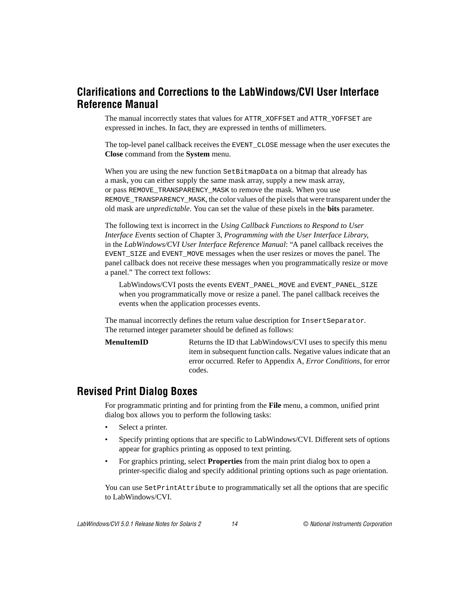#### <span id="page-13-0"></span>**Clarifications and Corrections to the LabWindows/CVI User Interface Reference Manual**

The manual incorrectly states that values for ATTR\_XOFFSET and ATTR\_YOFFSET are expressed in inches. In fact, they are expressed in tenths of millimeters.

The top-level panel callback receives the EVENT\_CLOSE message when the user executes the **Close** command from the **System** menu.

When you are using the new function SetBitmapData on a bitmap that already has a mask, you can either supply the same mask array, supply a new mask array, or pass REMOVE\_TRANSPARENCY\_MASK to remove the mask. When you use REMOVE TRANSPARENCY MASK, the color values of the pixels that were transparent under the old mask are *unpredictable*. You can set the value of these pixels in the **bits** parameter.

The following text is incorrect in the *Using Callback Functions to Respond to User Interface Events* section of Chapter 3, *Programming with the User Interface Library*, in the *LabWindows/CVI User Interface Reference Manual*: "A panel callback receives the EVENT\_SIZE and EVENT\_MOVE messages when the user resizes or moves the panel. The panel callback does not receive these messages when you programmatically resize or move a panel." The correct text follows:

LabWindows/CVI posts the events EVENT\_PANEL\_MOVE and EVENT\_PANEL\_SIZE when you programmatically move or resize a panel. The panel callback receives the events when the application processes events.

The manual incorrectly defines the return value description for InsertSeparator. The returned integer parameter should be defined as follows:

**MenuItemID** Returns the ID that LabWindows/CVI uses to specify this menu item in subsequent function calls. Negative values indicate that an error occurred. Refer to Appendix A, *Error Conditions*, for error codes.

#### **Revised Print Dialog Boxes**

For programmatic printing and for printing from the **File** menu, a common, unified print dialog box allows you to perform the following tasks:

- Select a printer.
- Specify printing options that are specific to LabWindows/CVI. Different sets of options appear for graphics printing as opposed to text printing.
- For graphics printing, select **Properties** from the main print dialog box to open a printer-specific dialog and specify additional printing options such as page orientation.

You can use SetPrintAttribute to programmatically set all the options that are specific to LabWindows/CVI.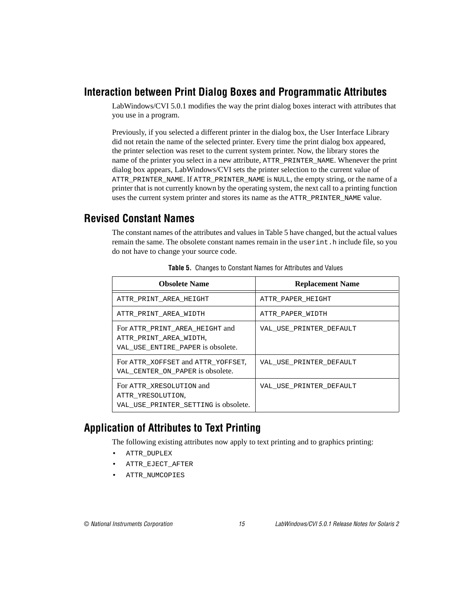#### <span id="page-14-0"></span>**Interaction between Print Dialog Boxes and Programmatic Attributes**

LabWindows/CVI 5.0.1 modifies the way the print dialog boxes interact with attributes that you use in a program.

Previously, if you selected a different printer in the dialog box, the User Interface Library did not retain the name of the selected printer. Every time the print dialog box appeared, the printer selection was reset to the current system printer. Now, the library stores the name of the printer you select in a new attribute, ATTR\_PRINTER\_NAME. Whenever the print dialog box appears, LabWindows/CVI sets the printer selection to the current value of ATTR\_PRINTER\_NAME. If ATTR\_PRINTER\_NAME is NULL, the empty string, or the name of a printer that is not currently known by the operating system, the next call to a printing function uses the current system printer and stores its name as the ATTR\_PRINTER\_NAME value.

#### **Revised Constant Names**

The constant names of the attributes and values in Table 5 have changed, but the actual values remain the same. The obsolete constant names remain in the userint.h include file, so you do not have to change your source code.

| <b>Obsolete Name</b>   |                                                                                               | <b>Replacement Name</b> |
|------------------------|-----------------------------------------------------------------------------------------------|-------------------------|
| ATTR PRINT AREA HEIGHT |                                                                                               | ATTR PAPER HEIGHT       |
|                        | ATTR PRINT AREA WIDTH                                                                         | ATTR PAPER WIDTH        |
|                        | For ATTR_PRINT_AREA_HEIGHT and<br>ATTR PRINT AREA WIDTH,<br>VAL USE ENTIRE PAPER is obsolete. | VAL USE PRINTER DEFAULT |
|                        | For ATTR XOFFSET and ATTR YOFFSET.<br>VAL CENTER ON PAPER is obsolete.                        | VAL USE PRINTER DEFAULT |
|                        | For ATTR XRESOLUTION and<br>ATTR YRESOLUTION.<br>VAL USE PRINTER SETTING is obsolete.         | VAL USE PRINTER DEFAULT |

**Table 5.** Changes to Constant Names for Attributes and Values

#### **Application of Attributes to Text Printing**

The following existing attributes now apply to text printing and to graphics printing:

- ATTR\_DUPLEX
- ATTR\_EJECT\_AFTER
- ATTR\_NUMCOPIES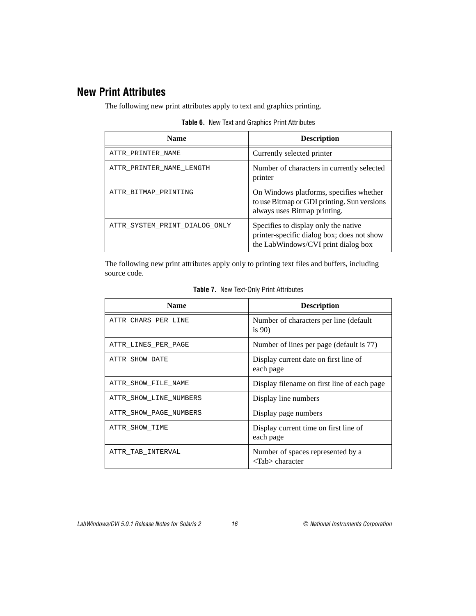#### <span id="page-15-0"></span>**New Print Attributes**

The following new print attributes apply to text and graphics printing.

| <b>Name</b>                   | <b>Description</b>                                                                                                        |
|-------------------------------|---------------------------------------------------------------------------------------------------------------------------|
| ATTR PRINTER NAME             | Currently selected printer                                                                                                |
| ATTR PRINTER NAME LENGTH      | Number of characters in currently selected<br>printer                                                                     |
| ATTR BITMAP PRINTING          | On Windows platforms, specifies whether<br>to use Bitmap or GDI printing. Sun versions<br>always uses Bitmap printing.    |
| ATTR SYSTEM PRINT DIALOG ONLY | Specifies to display only the native<br>printer-specific dialog box; does not show<br>the LabWindows/CVI print dialog box |

**Table 6.** New Text and Graphics Print Attributes

The following new print attributes apply only to printing text files and buffers, including source code.

| <b>Name</b>            | <b>Description</b>                                                         |
|------------------------|----------------------------------------------------------------------------|
| ATTR CHARS PER LINE    | Number of characters per line (default)<br>is $90$                         |
| ATTR LINES PER PAGE    | Number of lines per page (default is 77)                                   |
| ATTR SHOW DATE         | Display current date on first line of<br>each page                         |
| ATTR SHOW FILE NAME    | Display filename on first line of each page                                |
| ATTR SHOW LINE NUMBERS | Display line numbers                                                       |
| ATTR SHOW PAGE NUMBERS | Display page numbers                                                       |
| ATTR SHOW TIME         | Display current time on first line of<br>each page                         |
| ATTR TAB INTERVAL      | Number of spaces represented by a<br>$\langle \text{Tab}\rangle$ character |

**Table 7.** New Text-Only Print Attributes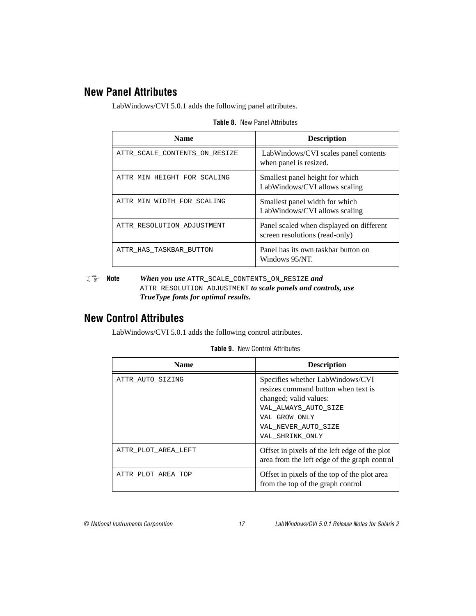#### <span id="page-16-0"></span>**New Panel Attributes**

LabWindows/CVI 5.0.1 adds the following panel attributes.

| <b>Name</b>                   | <b>Description</b>                                                         |  |  |
|-------------------------------|----------------------------------------------------------------------------|--|--|
| ATTR SCALE CONTENTS ON RESIZE | LabWindows/CVI scales panel contents<br>when panel is resized.             |  |  |
| ATTR MIN HEIGHT FOR SCALING   | Smallest panel height for which<br>LabWindows/CVI allows scaling           |  |  |
| ATTR MIN WIDTH FOR SCALING    | Smallest panel width for which<br>LabWindows/CVI allows scaling            |  |  |
| ATTR RESOLUTION ADJUSTMENT    | Panel scaled when displayed on different<br>screen resolutions (read-only) |  |  |
| ATTR HAS TASKBAR BUTTON       | Panel has its own taskbar button on<br>Windows 95/NT.                      |  |  |

**Table 8.** New Panel Attributes

**Note** *When you use* ATTR\_SCALE\_CONTENTS\_ON\_RESIZE *and*  ATTR\_RESOLUTION\_ADJUSTMENT *to scale panels and controls, use TrueType fonts for optimal results.*

#### **New Control Attributes**

LabWindows/CVI 5.0.1 adds the following control attributes.

| <b>Name</b>         | <b>Description</b>                                                                                                                                                                   |
|---------------------|--------------------------------------------------------------------------------------------------------------------------------------------------------------------------------------|
| ATTR AUTO SIZING    | Specifies whether LabWindows/CVI<br>resizes command button when text is<br>changed; valid values:<br>VAL ALWAYS AUTO SIZE<br>VAL GROW ONLY<br>VAL NEVER AUTO SIZE<br>VAL SHRINK ONLY |
| ATTR PLOT AREA LEFT | Offset in pixels of the left edge of the plot<br>area from the left edge of the graph control                                                                                        |
| ATTR PLOT AREA TOP  | Offset in pixels of the top of the plot area<br>from the top of the graph control                                                                                                    |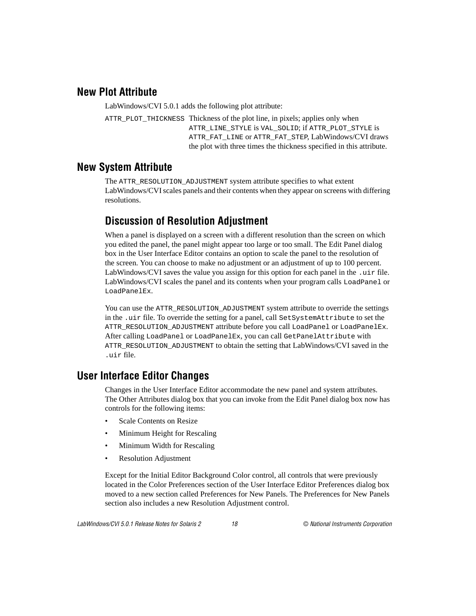#### <span id="page-17-0"></span>**New Plot Attribute**

LabWindows/CVI 5.0.1 adds the following plot attribute:

ATTR\_PLOT\_THICKNESS Thickness of the plot line, in pixels; applies only when ATTR\_LINE\_STYLE is VAL\_SOLID; if ATTR\_PLOT\_STYLE is ATTR\_FAT\_LINE or ATTR\_FAT\_STEP, LabWindows/CVI draws the plot with three times the thickness specified in this attribute.

#### **New System Attribute**

The ATTR\_RESOLUTION\_ADJUSTMENT system attribute specifies to what extent LabWindows/CVI scales panels and their contents when they appear on screens with differing resolutions.

#### **Discussion of Resolution Adjustment**

When a panel is displayed on a screen with a different resolution than the screen on which you edited the panel, the panel might appear too large or too small. The Edit Panel dialog box in the User Interface Editor contains an option to scale the panel to the resolution of the screen. You can choose to make no adjustment or an adjustment of up to 100 percent. LabWindows/CVI saves the value you assign for this option for each panel in the .uir file. LabWindows/CVI scales the panel and its contents when your program calls LoadPanel or LoadPanelEx.

You can use the ATTR\_RESOLUTION\_ADJUSTMENT system attribute to override the settings in the .uir file. To override the setting for a panel, call SetSystemAttribute to set the ATTR\_RESOLUTION\_ADJUSTMENT attribute before you call LoadPanel or LoadPanelEx. After calling LoadPanel or LoadPanelEx, you can call GetPanelAttribute with ATTR\_RESOLUTION\_ADJUSTMENT to obtain the setting that LabWindows/CVI saved in the .uir file.

#### **User Interface Editor Changes**

Changes in the User Interface Editor accommodate the new panel and system attributes. The Other Attributes dialog box that you can invoke from the Edit Panel dialog box now has controls for the following items:

- Scale Contents on Resize
- Minimum Height for Rescaling
- Minimum Width for Rescaling
- Resolution Adjustment

Except for the Initial Editor Background Color control, all controls that were previously located in the Color Preferences section of the User Interface Editor Preferences dialog box moved to a new section called Preferences for New Panels. The Preferences for New Panels section also includes a new Resolution Adjustment control.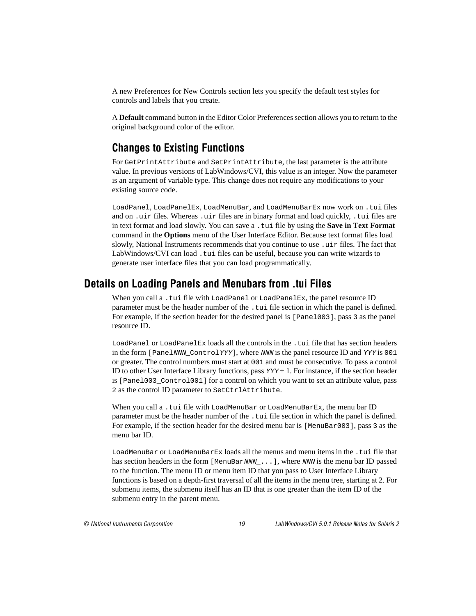<span id="page-18-0"></span>A new Preferences for New Controls section lets you specify the default test styles for controls and labels that you create.

A **Default** command button in the Editor Color Preferences section allows you to return to the original background color of the editor.

#### **Changes to Existing Functions**

For GetPrintAttribute and SetPrintAttribute, the last parameter is the attribute value. In previous versions of LabWindows/CVI, this value is an integer. Now the parameter is an argument of variable type. This change does not require any modifications to your existing source code.

LoadPanel, LoadPanelEx, LoadMenuBar, and LoadMenuBarEx now work on .tui files and on .uir files. Whereas .uir files are in binary format and load quickly, .tui files are in text format and load slowly. You can save a .tui file by using the **Save in Text Format** command in the **Options** menu of the User Interface Editor. Because text format files load slowly, National Instruments recommends that you continue to use .uir files. The fact that LabWindows/CVI can load .tui files can be useful, because you can write wizards to generate user interface files that you can load programmatically.

#### **Details on Loading Panels and Menubars from .tui Files**

When you call a .tui file with LoadPanel or LoadPanelEx, the panel resource ID parameter must be the header number of the .tui file section in which the panel is defined. For example, if the section header for the desired panel is [Panel003], pass 3 as the panel resource ID.

LoadPanel or LoadPanelEx loads all the controls in the .tui file that has section headers in the form [PanelNNN\_ControlYYY], where NNN is the panel resource ID and YYY is 001 or greater. The control numbers must start at 001 and must be consecutive. To pass a control ID to other User Interface Library functions, pass  $YYY + 1$ . For instance, if the section header is [Panel003\_Control001] for a control on which you want to set an attribute value, pass 2 as the control ID parameter to SetCtrlAttribute.

When you call a .tui file with LoadMenuBar or LoadMenuBarEx, the menu bar ID parameter must be the header number of the .tui file section in which the panel is defined. For example, if the section header for the desired menu bar is [MenuBar003], pass 3 as the menu bar ID.

LoadMenuBar or LoadMenuBarEx loads all the menus and menu items in the .tui file that has section headers in the form [MenuBarNNN  $\dots$ ], where NNN is the menu bar ID passed to the function. The menu ID or menu item ID that you pass to User Interface Library functions is based on a depth-first traversal of all the items in the menu tree, starting at 2. For submenu items, the submenu itself has an ID that is one greater than the item ID of the submenu entry in the parent menu.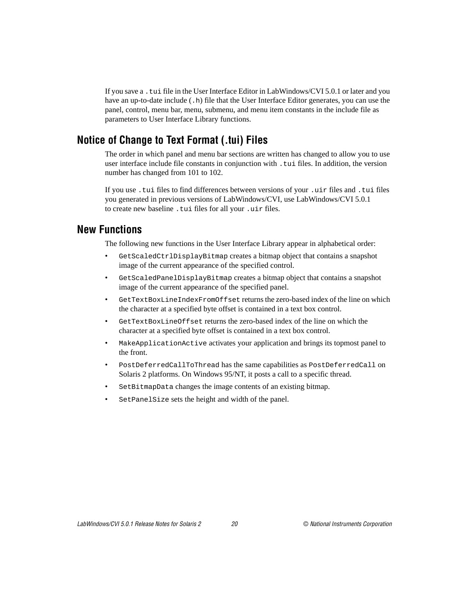<span id="page-19-0"></span>If you save a .tui file in the User Interface Editor in LabWindows/CVI 5.0.1 or later and you have an up-to-date include  $( .h)$  file that the User Interface Editor generates, you can use the panel, control, menu bar, menu, submenu, and menu item constants in the include file as parameters to User Interface Library functions.

#### **Notice of Change to Text Format (.tui) Files**

The order in which panel and menu bar sections are written has changed to allow you to use user interface include file constants in conjunction with . tui files. In addition, the version number has changed from 101 to 102.

If you use .tui files to find differences between versions of your .uir files and .tui files you generated in previous versions of LabWindows/CVI, use LabWindows/CVI 5.0.1 to create new baseline .tui files for all your .uir files.

#### **New Functions**

The following new functions in the User Interface Library appear in alphabetical order:

- GetScaledCtrlDisplayBitmap creates a bitmap object that contains a snapshot image of the current appearance of the specified control.
- GetScaledPanelDisplayBitmap creates a bitmap object that contains a snapshot image of the current appearance of the specified panel.
- GetTextBoxLineIndexFromOffset returns the zero-based index of the line on which the character at a specified byte offset is contained in a text box control.
- GetTextBoxLineOffset returns the zero-based index of the line on which the character at a specified byte offset is contained in a text box control.
- MakeApplicationActive activates your application and brings its topmost panel to the front.
- PostDeferredCallToThread has the same capabilities as PostDeferredCall on Solaris 2 platforms. On Windows 95/NT, it posts a call to a specific thread.
- SetBitmapData changes the image contents of an existing bitmap.
- SetPanelSize sets the height and width of the panel.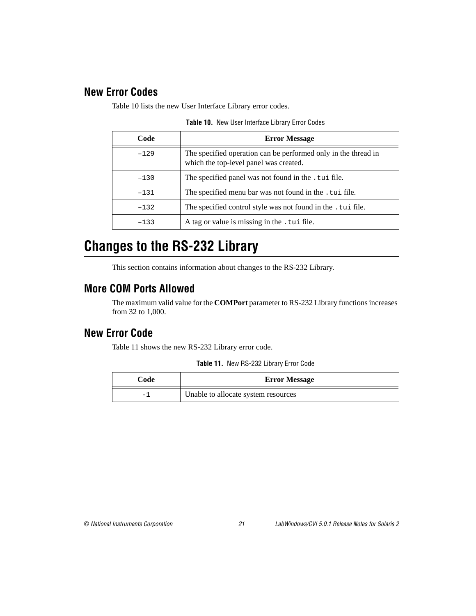#### <span id="page-20-0"></span>**New Error Codes**

Table 10 lists the new User Interface Library error codes.

| Code   | <b>Error Message</b>                                                                                     |
|--------|----------------------------------------------------------------------------------------------------------|
| $-129$ | The specified operation can be performed only in the thread in<br>which the top-level panel was created. |
| $-130$ | The specified panel was not found in the . tui file.                                                     |
| $-131$ | The specified menu bar was not found in the . tui file.                                                  |
| $-132$ | The specified control style was not found in the . tui file.                                             |
| $-133$ | A tag or value is missing in the .tui file.                                                              |

**Table 10.** New User Interface Library Error Codes

## **Changes to the RS-232 Library**

This section contains information about changes to the RS-232 Library.

#### **More COM Ports Allowed**

The maximum valid value for the **COMPort** parameter to RS-232 Library functions increases from 32 to 1,000.

#### **New Error Code**

Table 11 shows the new RS-232 Library error code.

|  | Table 11. New RS-232 Library Error Code |  |  |  |
|--|-----------------------------------------|--|--|--|
|--|-----------------------------------------|--|--|--|

| Code | <b>Error Message</b>                |
|------|-------------------------------------|
|      | Unable to allocate system resources |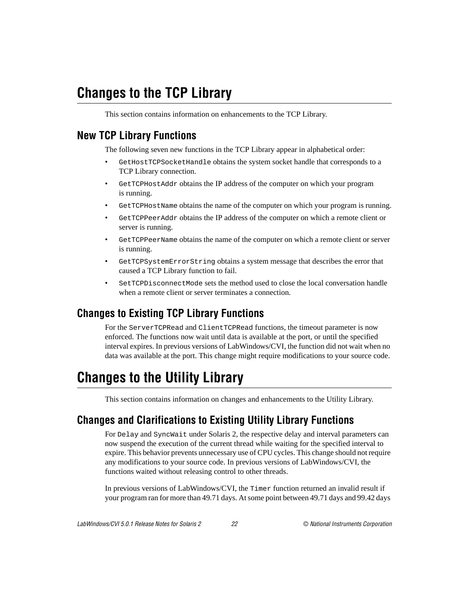# <span id="page-21-0"></span>**Changes to the TCP Library**

This section contains information on enhancements to the TCP Library.

#### **New TCP Library Functions**

The following seven new functions in the TCP Library appear in alphabetical order:

- GetHostTCPSocketHandle obtains the system socket handle that corresponds to a TCP Library connection.
- GetTCPHostAddr obtains the IP address of the computer on which your program is running.
- GetTCPHostName obtains the name of the computer on which your program is running.
- GetTCPPeerAddr obtains the IP address of the computer on which a remote client or server is running.
- GetTCPPeerName obtains the name of the computer on which a remote client or server is running.
- GetTCPSystemErrorString obtains a system message that describes the error that caused a TCP Library function to fail.
- SetTCPDisconnectMode sets the method used to close the local conversation handle when a remote client or server terminates a connection.

## **Changes to Existing TCP Library Functions**

For the ServerTCPRead and ClientTCPRead functions, the timeout parameter is now enforced. The functions now wait until data is available at the port, or until the specified interval expires. In previous versions of LabWindows/CVI, the function did not wait when no data was available at the port. This change might require modifications to your source code.

## **Changes to the Utility Library**

This section contains information on changes and enhancements to the Utility Library.

#### **Changes and Clarifications to Existing Utility Library Functions**

For Delay and SyncWait under Solaris 2, the respective delay and interval parameters can now suspend the execution of the current thread while waiting for the specified interval to expire. This behavior prevents unnecessary use of CPU cycles. This change should not require any modifications to your source code. In previous versions of LabWindows/CVI, the functions waited without releasing control to other threads.

In previous versions of LabWindows/CVI, the Timer function returned an invalid result if your program ran for more than 49.71 days. At some point between 49.71 days and 99.42 days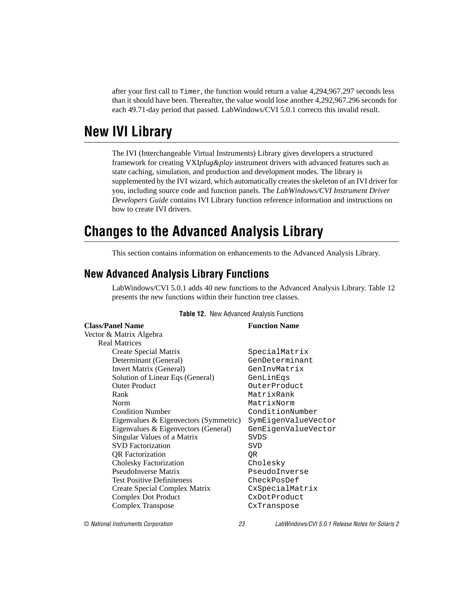<span id="page-22-0"></span>after your first call to Timer, the function would return a value 4,294,967.297 seconds less than it should have been. Thereafter, the value would lose another 4,292,967.296 seconds for each 49.71-day period that passed. LabWindows/CVI 5.0.1 corrects this invalid result.

## **New IVI Library**

The IVI (Interchangeable Virtual Instruments) Library gives developers a structured framework for creating VXI*plug&play* instrument drivers with advanced features such as state caching, simulation, and production and development modes. The library is supplemented by the IVI wizard, which automatically creates the skeleton of an IVI driver for you, including source code and function panels. The *LabWindows/CVI Instrument Driver Developers Guide* contains IVI Library function reference information and instructions on how to create IVI drivers.

## **Changes to the Advanced Analysis Library**

This section contains information on enhancements to the Advanced Analysis Library.

#### **New Advanced Analysis Library Functions**

LabWindows/CVI 5.0.1 adds 40 new functions to the Advanced Analysis Library. Table 12 presents the new functions within their function tree classes.

| <b>Class/Panel Name</b>                | <b>Function Name</b> |
|----------------------------------------|----------------------|
| Vector & Matrix Algebra                |                      |
| <b>Real Matrices</b>                   |                      |
| Create Special Matrix                  | SpecialMatrix        |
| Determinant (General)                  | GenDeterminant       |
| Invert Matrix (General)                | GenInvMatrix         |
| Solution of Linear Eqs (General)       | GenLinEqs            |
| <b>Outer Product</b>                   | OuterProduct         |
| Rank                                   | MatrixRank           |
| Norm                                   | MatrixNorm           |
| <b>Condition Number</b>                | ConditionNumber      |
| Eigenvalues & Eigenvectors (Symmetric) | SymEigenValueVector  |
| Eigenvalues & Eigenvectors (General)   | GenEigenValueVector  |
| Singular Values of a Matrix            | <b>SVDS</b>          |
| <b>SVD</b> Factorization               | SVD                  |
| <b>OR</b> Factorization                | ΟR                   |
| Cholesky Factorization                 | Cholesky             |
| PseudoInverse Matrix                   | PseudoInverse        |
| <b>Test Positive Definiteness</b>      | CheckPosDef          |
| Create Special Complex Matrix          | CxSpecialMatrix      |
| <b>Complex Dot Product</b>             | CxDotProduct         |
| Complex Transpose                      | CxTranspose          |

#### **Table 12.** New Advanced Analysis Functions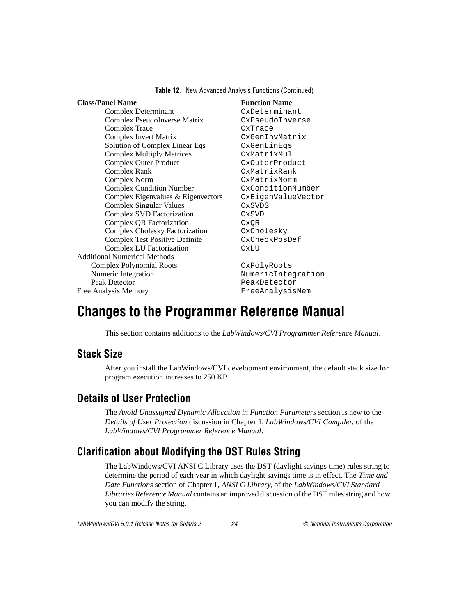**Table 12.** New Advanced Analysis Functions (Continued)

#### <span id="page-23-0"></span>**Class/Panel Name Function Name**

Complex Determinant CxDeterminant Complex PseudoInverse Matrix CxPseudoInverse Complex Trace CxTrace Complex Invert Matrix CxGenInvMatrix Solution of Complex Linear Eqs CxGenLinEqs Complex Multiply Matrices CxMatrixMul Complex Outer Product CxOuterProduct Complex Rank CxMatrixRank Complex Norm CxMatrixNorm Complex Condition Number CxConditionNumber Complex Eigenvalues & Eigenvectors CxEigenValueVector Complex Singular Values CxSVDS Complex SVD Factorization CxSVD Complex QR Factorization CxQR Complex Cholesky Factorization CxCholesky Complex Test Positive Definite CxCheckPosDef Complex LU Factorization CxLU Additional Numerical Methods Complex Polynomial Roots CxPolyRoots Numeric Integration Numeric Integration Peak Detector PeakDetector Free Analysis Memory **FreeAnalysisMem** 

## **Changes to the Programmer Reference Manual**

This section contains additions to the *LabWindows/CVI Programmer Reference Manual*.

#### **Stack Size**

After you install the LabWindows/CVI development environment, the default stack size for program execution increases to 250 KB.

#### **Details of User Protection**

The *Avoid Unassigned Dynamic Allocation in Function Parameters* section is new to the *Details of User Protection* discussion in Chapter 1, *LabWindows/CVI Compiler*, of the *LabWindows/CVI Programmer Reference Manual*.

#### **Clarification about Modifying the DST Rules String**

The LabWindows/CVI ANSI C Library uses the DST (daylight savings time) rules string to determine the period of each year in which daylight savings time is in effect. The *Time and Date Functions* section of Chapter 1, *ANSI C Library*, of the *LabWindows/CVI Standard Libraries Reference Manual* contains an improved discussion of the DST rules string and how you can modify the string.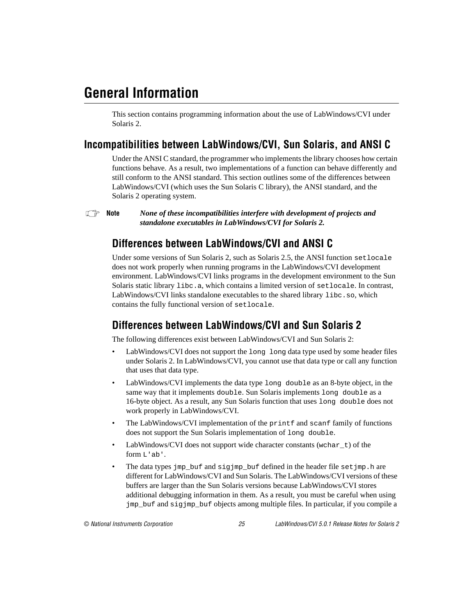# <span id="page-24-0"></span>**General Information**

This section contains programming information about the use of LabWindows/CVI under Solaris 2.

#### **Incompatibilities between LabWindows/CVI, Sun Solaris, and ANSI C**

Under the ANSI C standard, the programmer who implements the library chooses how certain functions behave. As a result, two implementations of a function can behave differently and still conform to the ANSI standard. This section outlines some of the differences between LabWindows/CVI (which uses the Sun Solaris C library), the ANSI standard, and the Solaris 2 operating system.

**Note** *None of these incompatibilities interfere with development of projects and standalone executables in LabWindows/CVI for Solaris 2.*

#### **Differences between LabWindows/CVI and ANSI C**

Under some versions of Sun Solaris 2, such as Solaris 2.5, the ANSI function setlocale does not work properly when running programs in the LabWindows/CVI development environment. LabWindows/CVI links programs in the development environment to the Sun Solaris static library libc.a, which contains a limited version of setlocale. In contrast, LabWindows/CVI links standalone executables to the shared library libc.so, which contains the fully functional version of setlocale.

#### **Differences between LabWindows/CVI and Sun Solaris 2**

The following differences exist between LabWindows/CVI and Sun Solaris 2:

- LabWindows/CVI does not support the long long data type used by some header files under Solaris 2. In LabWindows/CVI, you cannot use that data type or call any function that uses that data type.
- LabWindows/CVI implements the data type long double as an 8-byte object, in the same way that it implements double. Sun Solaris implements long double as a 16-byte object. As a result, any Sun Solaris function that uses long double does not work properly in LabWindows/CVI.
- The LabWindows/CVI implementation of the printf and scanf family of functions does not support the Sun Solaris implementation of long double.
- LabWindows/CVI does not support wide character constants (wchar  $\pm$ ) of the form L'ab'.
- The data types jmp\_buf and sigjmp\_buf defined in the header file setjmp.h are different for LabWindows/CVI and Sun Solaris. The LabWindows/CVI versions of these buffers are larger than the Sun Solaris versions because LabWindows/CVI stores additional debugging information in them. As a result, you must be careful when using jmp\_buf and sigjmp\_buf objects among multiple files. In particular, if you compile a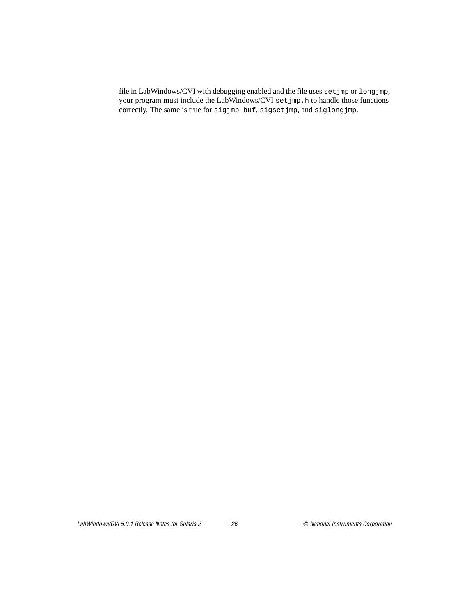file in LabWindows/CVI with debugging enabled and the file uses setjmp or longjmp, your program must include the LabWindows/CVI set jmp.h to handle those functions correctly. The same is true for sigjmp\_buf, sigsetjmp, and siglongjmp.